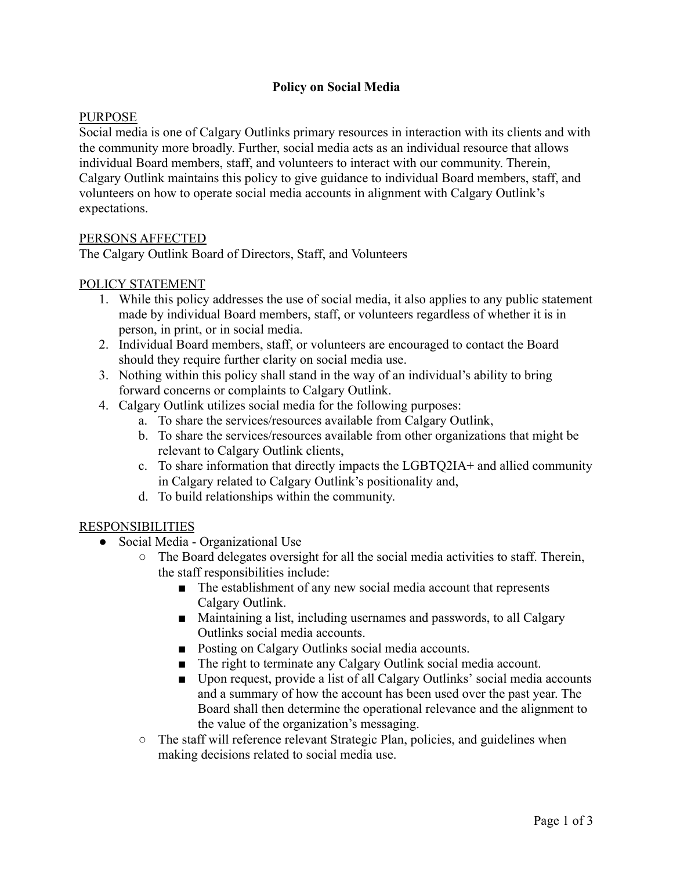## **Policy on Social Media**

### PURPOSE

Social media is one of Calgary Outlinks primary resources in interaction with its clients and with the community more broadly. Further, social media acts as an individual resource that allows individual Board members, staff, and volunteers to interact with our community. Therein, Calgary Outlink maintains this policy to give guidance to individual Board members, staff, and volunteers on how to operate social media accounts in alignment with Calgary Outlink's expectations.

#### PERSONS AFFECTED

The Calgary Outlink Board of Directors, Staff, and Volunteers

### POLICY STATEMENT

- 1. While this policy addresses the use of social media, it also applies to any public statement made by individual Board members, staff, or volunteers regardless of whether it is in person, in print, or in social media.
- 2. Individual Board members, staff, or volunteers are encouraged to contact the Board should they require further clarity on social media use.
- 3. Nothing within this policy shall stand in the way of an individual's ability to bring forward concerns or complaints to Calgary Outlink.
- 4. Calgary Outlink utilizes social media for the following purposes:
	- a. To share the services/resources available from Calgary Outlink,
	- b. To share the services/resources available from other organizations that might be relevant to Calgary Outlink clients,
	- c. To share information that directly impacts the LGBTQ2IA+ and allied community in Calgary related to Calgary Outlink's positionality and,
	- d. To build relationships within the community.

#### RESPONSIBILITIES

- Social Media Organizational Use
	- The Board delegates oversight for all the social media activities to staff. Therein, the staff responsibilities include:
		- The establishment of any new social media account that represents Calgary Outlink.
		- Maintaining a list, including usernames and passwords, to all Calgary Outlinks social media accounts.
		- Posting on Calgary Outlinks social media accounts.
		- The right to terminate any Calgary Outlink social media account.
		- Upon request, provide a list of all Calgary Outlinks' social media accounts and a summary of how the account has been used over the past year. The Board shall then determine the operational relevance and the alignment to the value of the organization's messaging.
	- The staff will reference relevant Strategic Plan, policies, and guidelines when making decisions related to social media use.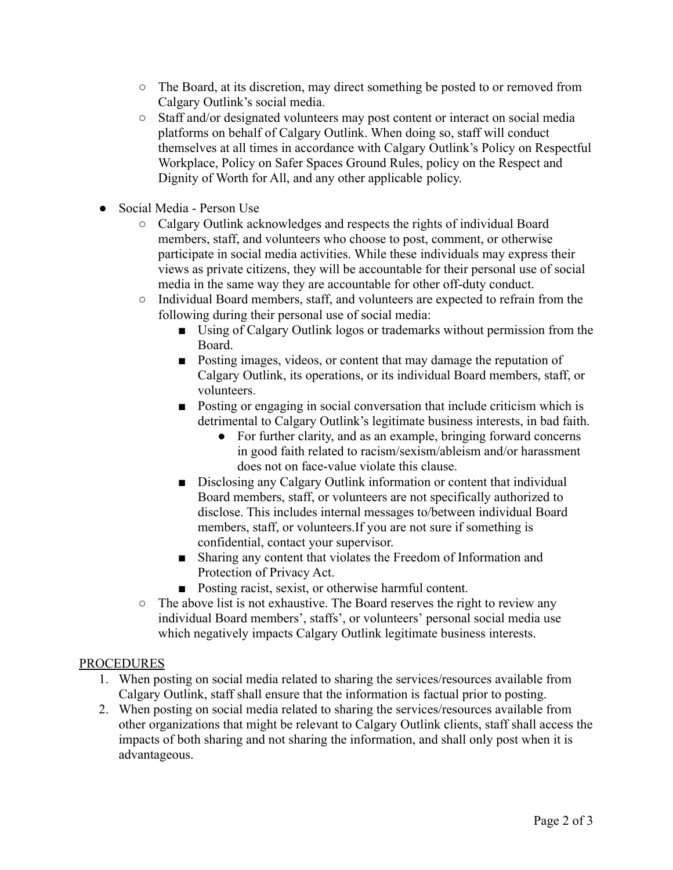- The Board, at its discretion, may direct something be posted to or removed from Calgary Outlink's social media.
- Staff and/or designated volunteers may post content or interact on social media platforms on behalf of Calgary Outlink. When doing so, staff will conduct themselves at all times in accordance with Calgary Outlink's Policy on Respectful Workplace, Policy on Safer Spaces Ground Rules, policy on the Respect and Dignity of Worth for All, and any other applicable policy.
- Social Media Person Use
	- Calgary Outlink acknowledges and respects the rights of individual Board members, staff, and volunteers who choose to post, comment, or otherwise participate in social media activities. While these individuals may express their views as private citizens, they will be accountable for their personal use of social media in the same way they are accountable for other off-duty conduct.
	- Individual Board members, staff, and volunteers are expected to refrain from the following during their personal use of social media:
		- Using of Calgary Outlink logos or trademarks without permission from the Board.
		- Posting images, videos, or content that may damage the reputation of Calgary Outlink, its operations, or its individual Board members, staff, or volunteers.
		- Posting or engaging in social conversation that include criticism which is detrimental to Calgary Outlink's legitimate business interests, in bad faith.
			- For further clarity, and as an example, bringing forward concerns in good faith related to racism/sexism/ableism and/or harassment does not on face-value violate this clause.
		- Disclosing any Calgary Outlink information or content that individual Board members, staff, or volunteers are not specifically authorized to disclose. This includes internal messages to/between individual Board members, staff, or volunteers.If you are not sure if something is confidential, contact your supervisor.
		- Sharing any content that violates the Freedom of Information and Protection of Privacy Act.
		- Posting racist, sexist, or otherwise harmful content.
	- The above list is not exhaustive. The Board reserves the right to review any individual Board members', staffs', or volunteers' personal social media use which negatively impacts Calgary Outlink legitimate business interests.

# **PROCEDURES**

- 1. When posting on social media related to sharing the services/resources available from Calgary Outlink, staff shall ensure that the information is factual prior to posting.
- 2. When posting on social media related to sharing the services/resources available from other organizations that might be relevant to Calgary Outlink clients, staff shall access the impacts of both sharing and not sharing the information, and shall only post when it is advantageous.